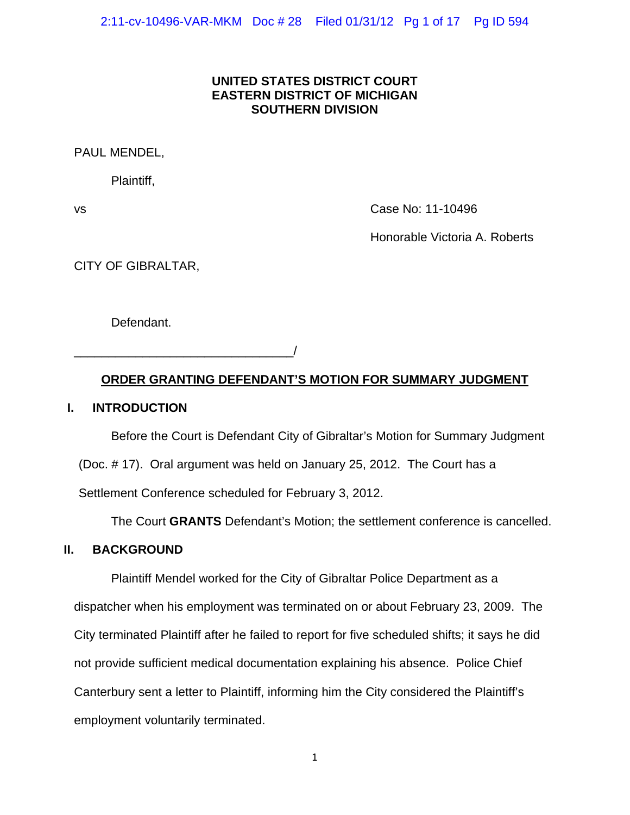# **UNITED STATES DISTRICT COURT EASTERN DISTRICT OF MICHIGAN SOUTHERN DIVISION**

# PAUL MENDEL,

Plaintiff,

vs Case No: 11-10496

Honorable Victoria A. Roberts

CITY OF GIBRALTAR,

Defendant.

\_\_\_\_\_\_\_\_\_\_\_\_\_\_\_\_\_\_\_\_\_\_\_\_\_\_\_\_\_\_\_\_/

# **ORDER GRANTING DEFENDANT'S MOTION FOR SUMMARY JUDGMENT**

# **I. INTRODUCTION**

Before the Court is Defendant City of Gibraltar's Motion for Summary Judgment (Doc. # 17). Oral argument was held on January 25, 2012. The Court has a Settlement Conference scheduled for February 3, 2012.

The Court **GRANTS** Defendant's Motion; the settlement conference is cancelled.

# **II. BACKGROUND**

Plaintiff Mendel worked for the City of Gibraltar Police Department as a dispatcher when his employment was terminated on or about February 23, 2009. The City terminated Plaintiff after he failed to report for five scheduled shifts; it says he did not provide sufficient medical documentation explaining his absence. Police Chief Canterbury sent a letter to Plaintiff, informing him the City considered the Plaintiff's employment voluntarily terminated.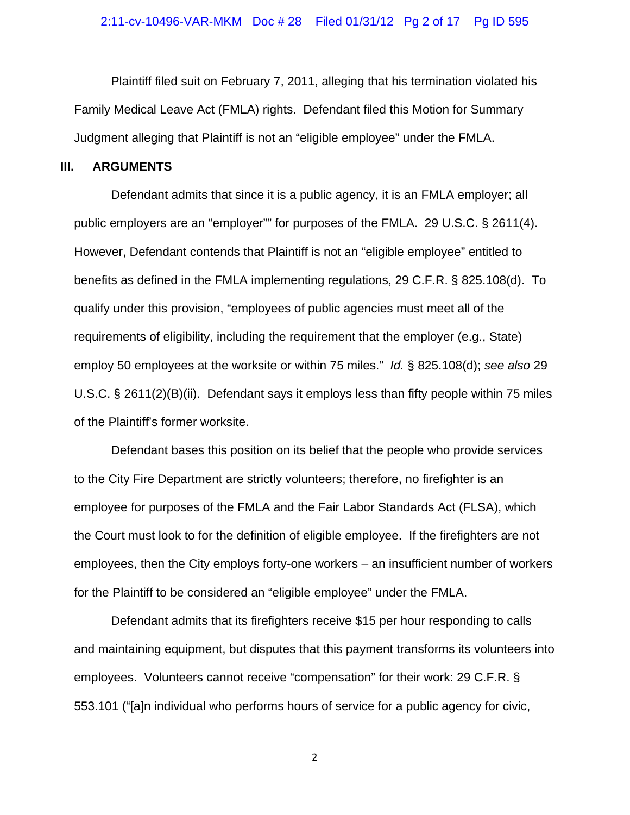Plaintiff filed suit on February 7, 2011, alleging that his termination violated his Family Medical Leave Act (FMLA) rights. Defendant filed this Motion for Summary Judgment alleging that Plaintiff is not an "eligible employee" under the FMLA.

## **III. ARGUMENTS**

Defendant admits that since it is a public agency, it is an FMLA employer; all public employers are an "employer"" for purposes of the FMLA. 29 U.S.C. § 2611(4). However, Defendant contends that Plaintiff is not an "eligible employee" entitled to benefits as defined in the FMLA implementing regulations, 29 C.F.R. § 825.108(d). To qualify under this provision, "employees of public agencies must meet all of the requirements of eligibility, including the requirement that the employer (e.g., State) employ 50 employees at the worksite or within 75 miles." *Id.* § 825.108(d); *see also* 29 U.S.C. § 2611(2)(B)(ii). Defendant says it employs less than fifty people within 75 miles of the Plaintiff's former worksite.

Defendant bases this position on its belief that the people who provide services to the City Fire Department are strictly volunteers; therefore, no firefighter is an employee for purposes of the FMLA and the Fair Labor Standards Act (FLSA), which the Court must look to for the definition of eligible employee. If the firefighters are not employees, then the City employs forty-one workers – an insufficient number of workers for the Plaintiff to be considered an "eligible employee" under the FMLA.

Defendant admits that its firefighters receive \$15 per hour responding to calls and maintaining equipment, but disputes that this payment transforms its volunteers into employees. Volunteers cannot receive "compensation" for their work: 29 C.F.R. § 553.101 ("[a]n individual who performs hours of service for a public agency for civic,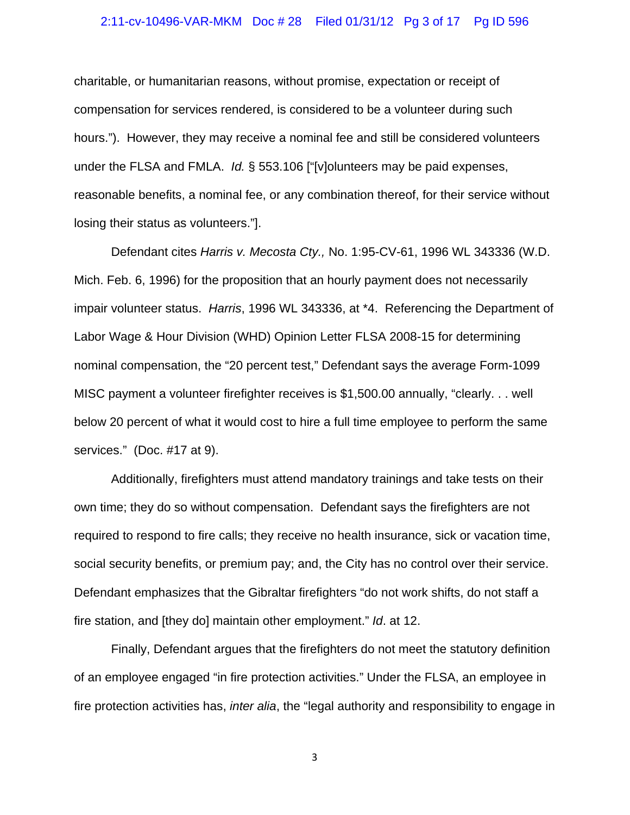#### 2:11-cv-10496-VAR-MKM Doc # 28 Filed 01/31/12 Pg 3 of 17 Pg ID 596

charitable, or humanitarian reasons, without promise, expectation or receipt of compensation for services rendered, is considered to be a volunteer during such hours."). However, they may receive a nominal fee and still be considered volunteers under the FLSA and FMLA. *Id.* § 553.106 ["[v]olunteers may be paid expenses, reasonable benefits, a nominal fee, or any combination thereof, for their service without losing their status as volunteers."].

Defendant cites *Harris v. Mecosta Cty.,* No. 1:95-CV-61, 1996 WL 343336 (W.D. Mich. Feb. 6, 1996) for the proposition that an hourly payment does not necessarily impair volunteer status. *Harris*, 1996 WL 343336, at \*4. Referencing the Department of Labor Wage & Hour Division (WHD) Opinion Letter FLSA 2008-15 for determining nominal compensation, the "20 percent test," Defendant says the average Form-1099 MISC payment a volunteer firefighter receives is \$1,500.00 annually, "clearly. . . well below 20 percent of what it would cost to hire a full time employee to perform the same services." (Doc. #17 at 9).

Additionally, firefighters must attend mandatory trainings and take tests on their own time; they do so without compensation. Defendant says the firefighters are not required to respond to fire calls; they receive no health insurance, sick or vacation time, social security benefits, or premium pay; and, the City has no control over their service. Defendant emphasizes that the Gibraltar firefighters "do not work shifts, do not staff a fire station, and [they do] maintain other employment." *Id*. at 12.

Finally, Defendant argues that the firefighters do not meet the statutory definition of an employee engaged "in fire protection activities." Under the FLSA, an employee in fire protection activities has, *inter alia*, the "legal authority and responsibility to engage in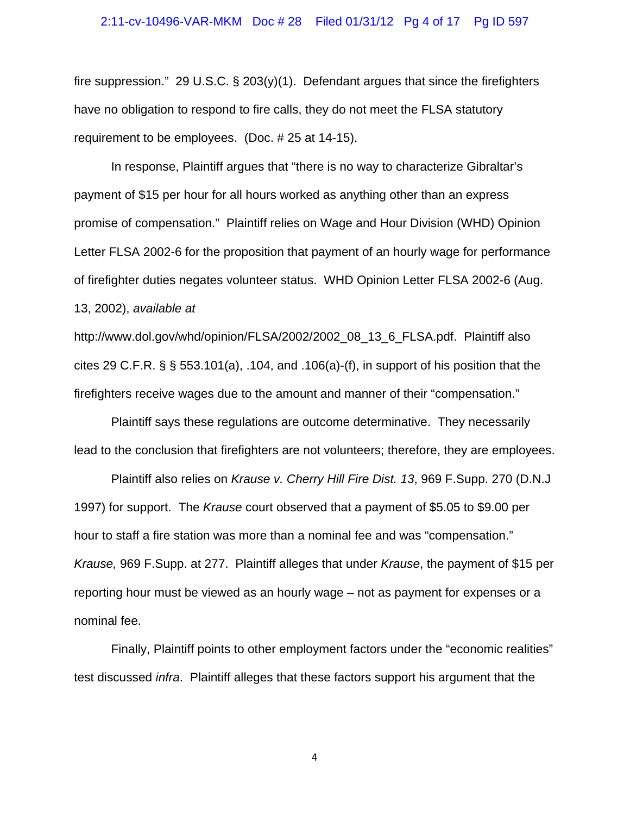#### 2:11-cv-10496-VAR-MKM Doc # 28 Filed 01/31/12 Pg 4 of 17 Pg ID 597

fire suppression." 29 U.S.C.  $\S$  203(y)(1). Defendant argues that since the firefighters have no obligation to respond to fire calls, they do not meet the FLSA statutory requirement to be employees. (Doc. # 25 at 14-15).

In response, Plaintiff argues that "there is no way to characterize Gibraltar's payment of \$15 per hour for all hours worked as anything other than an express promise of compensation." Plaintiff relies on Wage and Hour Division (WHD) Opinion Letter FLSA 2002-6 for the proposition that payment of an hourly wage for performance of firefighter duties negates volunteer status. WHD Opinion Letter FLSA 2002-6 (Aug. 13, 2002), *available at*

http://www.dol.gov/whd/opinion/FLSA/2002/2002\_08\_13\_6\_FLSA.pdf. Plaintiff also cites 29 C.F.R.  $\S$   $\S$  553.101(a), .104, and .106(a)-(f), in support of his position that the firefighters receive wages due to the amount and manner of their "compensation."

Plaintiff says these regulations are outcome determinative. They necessarily lead to the conclusion that firefighters are not volunteers; therefore, they are employees.

Plaintiff also relies on *Krause v. Cherry Hill Fire Dist. 13*, 969 F.Supp. 270 (D.N.J 1997) for support. The *Krause* court observed that a payment of \$5.05 to \$9.00 per hour to staff a fire station was more than a nominal fee and was "compensation." *Krause,* 969 F.Supp. at 277. Plaintiff alleges that under *Krause*, the payment of \$15 per reporting hour must be viewed as an hourly wage – not as payment for expenses or a nominal fee.

Finally, Plaintiff points to other employment factors under the "economic realities" test discussed *infra*. Plaintiff alleges that these factors support his argument that the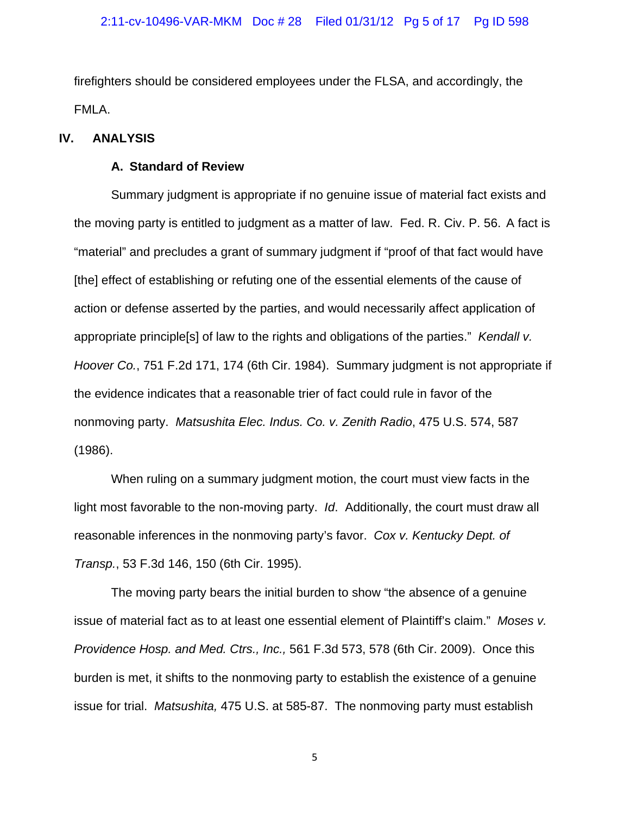firefighters should be considered employees under the FLSA, and accordingly, the FMLA.

## **IV. ANALYSIS**

## **A. Standard of Review**

Summary judgment is appropriate if no genuine issue of material fact exists and the moving party is entitled to judgment as a matter of law. Fed. R. Civ. P. 56. A fact is "material" and precludes a grant of summary judgment if "proof of that fact would have [the] effect of establishing or refuting one of the essential elements of the cause of action or defense asserted by the parties, and would necessarily affect application of appropriate principle[s] of law to the rights and obligations of the parties." *Kendall v. Hoover Co.*, 751 F.2d 171, 174 (6th Cir. 1984). Summary judgment is not appropriate if the evidence indicates that a reasonable trier of fact could rule in favor of the nonmoving party. *Matsushita Elec. Indus. Co. v. Zenith Radio*, 475 U.S. 574, 587 (1986).

When ruling on a summary judgment motion, the court must view facts in the light most favorable to the non-moving party. *Id*. Additionally, the court must draw all reasonable inferences in the nonmoving party's favor. *Cox v. Kentucky Dept. of Transp.*, 53 F.3d 146, 150 (6th Cir. 1995).

The moving party bears the initial burden to show "the absence of a genuine issue of material fact as to at least one essential element of Plaintiff's claim." *Moses v. Providence Hosp. and Med. Ctrs., Inc.,* 561 F.3d 573, 578 (6th Cir. 2009). Once this burden is met, it shifts to the nonmoving party to establish the existence of a genuine issue for trial. *Matsushita,* 475 U.S. at 585-87. The nonmoving party must establish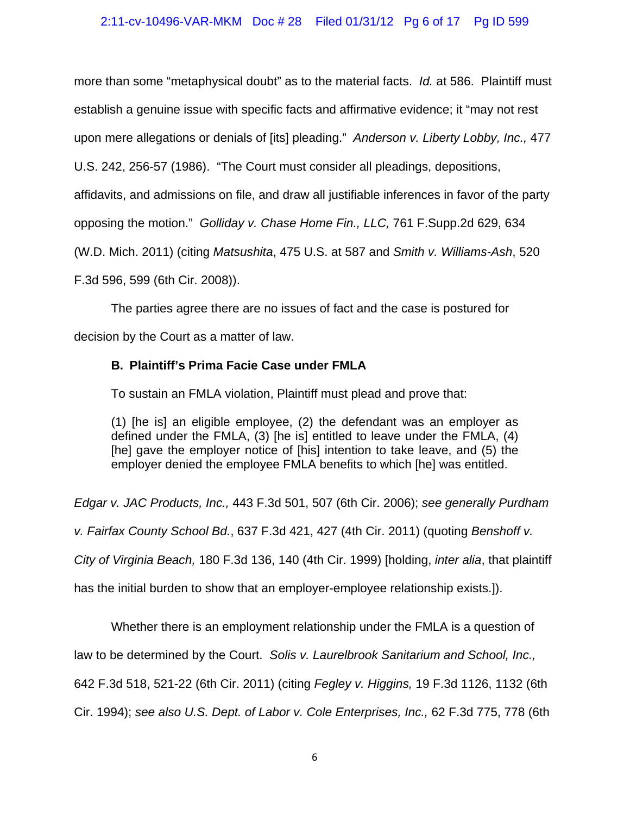# 2:11-cv-10496-VAR-MKM Doc # 28 Filed 01/31/12 Pg 6 of 17 Pg ID 599

more than some "metaphysical doubt" as to the material facts. *Id.* at 586. Plaintiff must establish a genuine issue with specific facts and affirmative evidence; it "may not rest upon mere allegations or denials of [its] pleading." *Anderson v. Liberty Lobby, Inc.,* 477

U.S. 242, 256-57 (1986). "The Court must consider all pleadings, depositions,

affidavits, and admissions on file, and draw all justifiable inferences in favor of the party

opposing the motion." *Golliday v. Chase Home Fin., LLC,* 761 F.Supp.2d 629, 634

(W.D. Mich. 2011) (citing *Matsushita*, 475 U.S. at 587 and *Smith v. Williams-Ash*, 520

F.3d 596, 599 (6th Cir. 2008)).

The parties agree there are no issues of fact and the case is postured for

decision by the Court as a matter of law.

# **B. Plaintiff's Prima Facie Case under FMLA**

To sustain an FMLA violation, Plaintiff must plead and prove that:

(1) [he is] an eligible employee, (2) the defendant was an employer as defined under the FMLA, (3) [he is] entitled to leave under the FMLA, (4) [he] gave the employer notice of [his] intention to take leave, and (5) the employer denied the employee FMLA benefits to which [he] was entitled.

*Edgar v. JAC Products, Inc.,* 443 F.3d 501, 507 (6th Cir. 2006); *see generally Purdham* 

*v. Fairfax County School Bd.*, 637 F.3d 421, 427 (4th Cir. 2011) (quoting *Benshoff v.* 

*City of Virginia Beach,* 180 F.3d 136, 140 (4th Cir. 1999) [holding, *inter alia*, that plaintiff

has the initial burden to show that an employer-employee relationship exists.]).

Whether there is an employment relationship under the FMLA is a question of

law to be determined by the Court. *Solis v. Laurelbrook Sanitarium and School, Inc.,* 

642 F.3d 518, 521-22 (6th Cir. 2011) (citing *Fegley v. Higgins,* 19 F.3d 1126, 1132 (6th

Cir. 1994); *see also U.S. Dept. of Labor v. Cole Enterprises, Inc.,* 62 F.3d 775, 778 (6th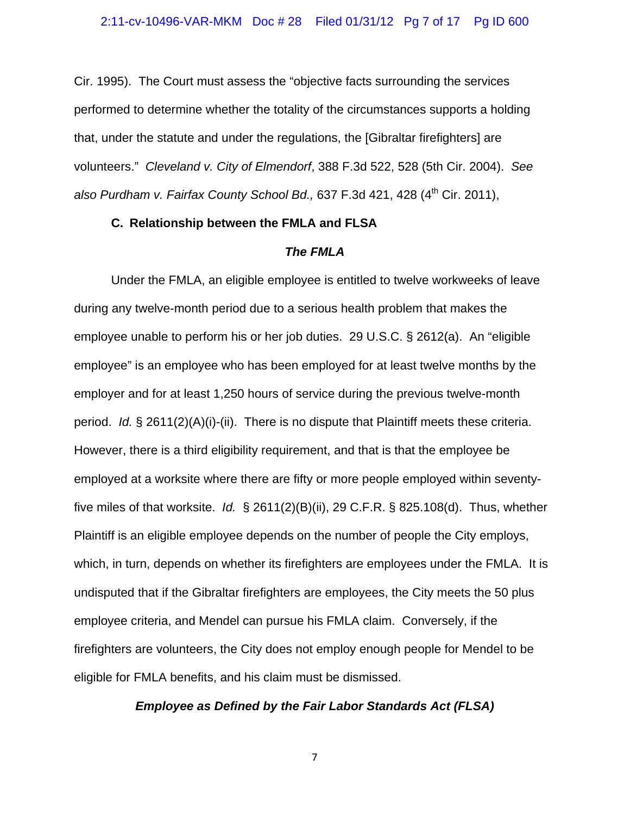Cir. 1995). The Court must assess the "objective facts surrounding the services performed to determine whether the totality of the circumstances supports a holding that, under the statute and under the regulations, the [Gibraltar firefighters] are volunteers." *Cleveland v. City of Elmendorf*, 388 F.3d 522, 528 (5th Cir. 2004). *See also Purdham v. Fairfax County School Bd.,* 637 F.3d 421, 428 (4<sup>th</sup> Cir. 2011),

## **C. Relationship between the FMLA and FLSA**

## *The FMLA*

Under the FMLA, an eligible employee is entitled to twelve workweeks of leave during any twelve-month period due to a serious health problem that makes the employee unable to perform his or her job duties. 29 U.S.C. § 2612(a). An "eligible employee" is an employee who has been employed for at least twelve months by the employer and for at least 1,250 hours of service during the previous twelve-month period. *Id.* § 2611(2)(A)(i)-(ii). There is no dispute that Plaintiff meets these criteria. However, there is a third eligibility requirement, and that is that the employee be employed at a worksite where there are fifty or more people employed within seventyfive miles of that worksite. *Id.* § 2611(2)(B)(ii), 29 C.F.R. § 825.108(d). Thus, whether Plaintiff is an eligible employee depends on the number of people the City employs, which, in turn, depends on whether its firefighters are employees under the FMLA. It is undisputed that if the Gibraltar firefighters are employees, the City meets the 50 plus employee criteria, and Mendel can pursue his FMLA claim. Conversely, if the firefighters are volunteers, the City does not employ enough people for Mendel to be eligible for FMLA benefits, and his claim must be dismissed.

## *Employee as Defined by the Fair Labor Standards Act (FLSA)*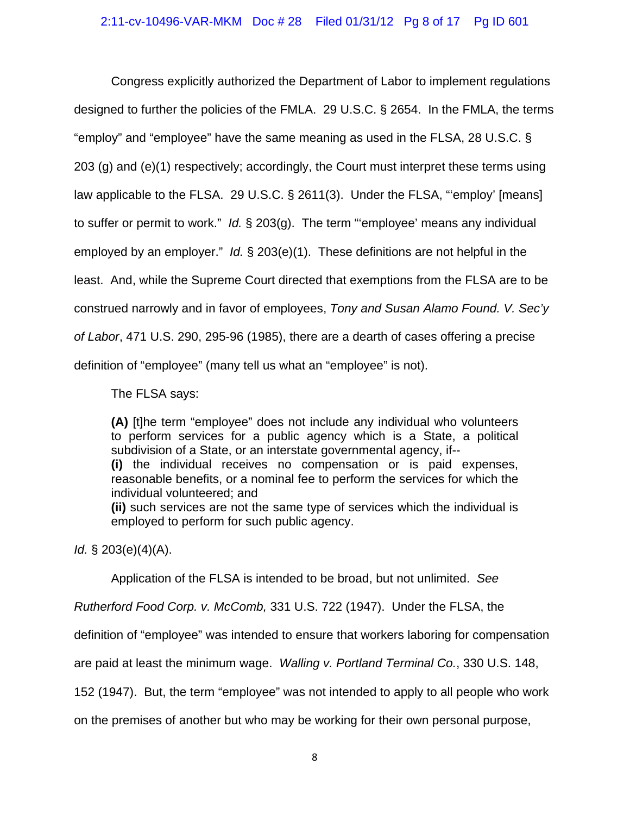Congress explicitly authorized the Department of Labor to implement regulations designed to further the policies of the FMLA. 29 U.S.C. § 2654. In the FMLA, the terms "employ" and "employee" have the same meaning as used in the FLSA, 28 U.S.C. § 203 (g) and (e)(1) respectively; accordingly, the Court must interpret these terms using law applicable to the FLSA. 29 U.S.C. § 2611(3). Under the FLSA, "'employ' [means] to suffer or permit to work." *Id.* § 203(g). The term "'employee' means any individual employed by an employer." *Id.* § 203(e)(1). These definitions are not helpful in the least. And, while the Supreme Court directed that exemptions from the FLSA are to be construed narrowly and in favor of employees, *Tony and Susan Alamo Found. V. Sec'y of Labor*, 471 U.S. 290, 295-96 (1985), there are a dearth of cases offering a precise definition of "employee" (many tell us what an "employee" is not).

The FLSA says:

**(A)** [t]he term "employee" does not include any individual who volunteers to perform services for a public agency which is a State, a political subdivision of a State, or an interstate governmental agency, if-- **(i)** the individual receives no compensation or is paid expenses,

reasonable benefits, or a nominal fee to perform the services for which the individual volunteered; and

**(ii)** such services are not the same type of services which the individual is employed to perform for such public agency.

*Id.* § 203(e)(4)(A).

Application of the FLSA is intended to be broad, but not unlimited. *See* 

*Rutherford Food Corp. v. McComb,* 331 U.S. 722 (1947). Under the FLSA, the

definition of "employee" was intended to ensure that workers laboring for compensation

are paid at least the minimum wage. *Walling v. Portland Terminal Co.*, 330 U.S. 148,

152 (1947). But, the term "employee" was not intended to apply to all people who work

on the premises of another but who may be working for their own personal purpose,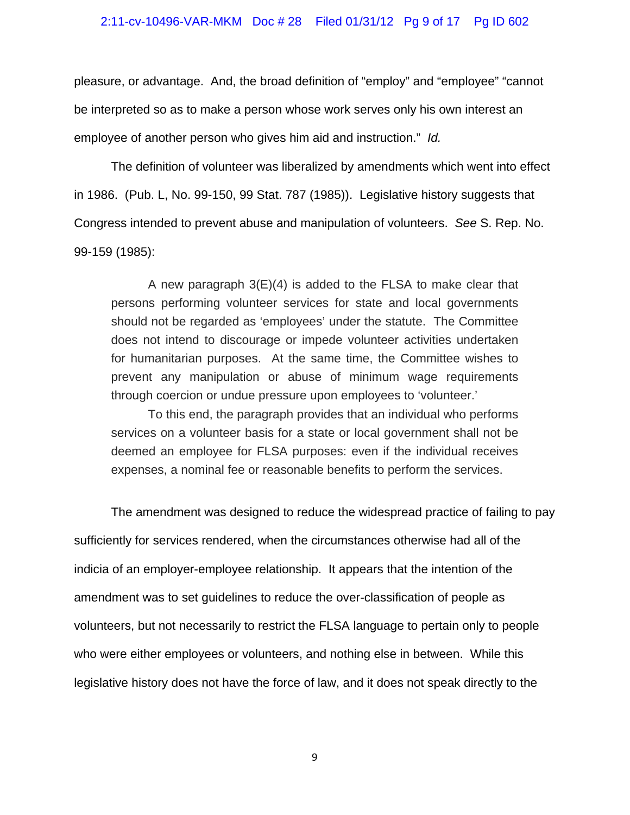#### 2:11-cv-10496-VAR-MKM Doc # 28 Filed 01/31/12 Pg 9 of 17 Pg ID 602

pleasure, or advantage. And, the broad definition of "employ" and "employee" "cannot be interpreted so as to make a person whose work serves only his own interest an employee of another person who gives him aid and instruction." *Id.* 

 The definition of volunteer was liberalized by amendments which went into effect in 1986. (Pub. L, No. 99-150, 99 Stat. 787 (1985)). Legislative history suggests that Congress intended to prevent abuse and manipulation of volunteers. *See* S. Rep. No. 99-159 (1985):

 A new paragraph 3(E)(4) is added to the FLSA to make clear that persons performing volunteer services for state and local governments should not be regarded as 'employees' under the statute. The Committee does not intend to discourage or impede volunteer activities undertaken for humanitarian purposes. At the same time, the Committee wishes to prevent any manipulation or abuse of minimum wage requirements through coercion or undue pressure upon employees to 'volunteer.'

 To this end, the paragraph provides that an individual who performs services on a volunteer basis for a state or local government shall not be deemed an employee for FLSA purposes: even if the individual receives expenses, a nominal fee or reasonable benefits to perform the services.

 The amendment was designed to reduce the widespread practice of failing to pay sufficiently for services rendered, when the circumstances otherwise had all of the indicia of an employer-employee relationship. It appears that the intention of the amendment was to set guidelines to reduce the over-classification of people as volunteers, but not necessarily to restrict the FLSA language to pertain only to people who were either employees or volunteers, and nothing else in between. While this legislative history does not have the force of law, and it does not speak directly to the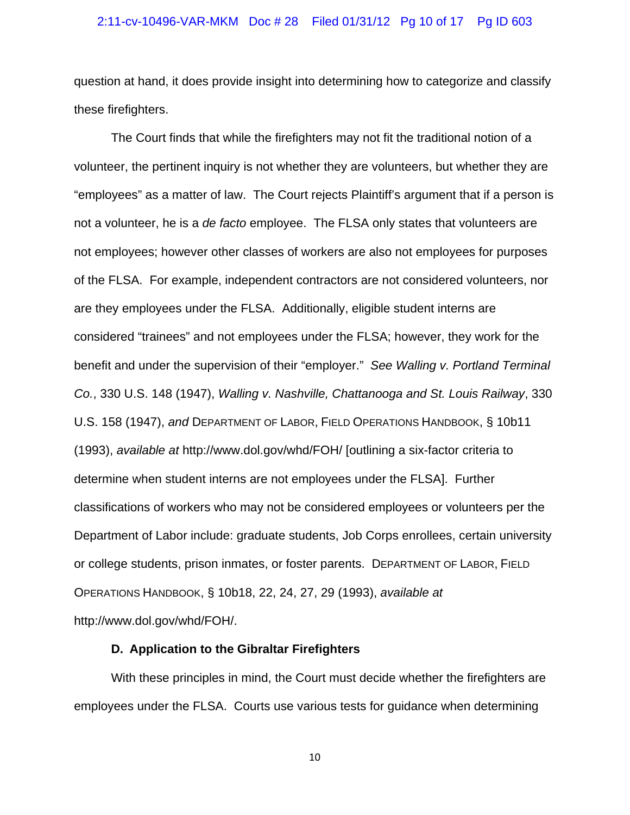#### 2:11-cv-10496-VAR-MKM Doc # 28 Filed 01/31/12 Pg 10 of 17 Pg ID 603

question at hand, it does provide insight into determining how to categorize and classify these firefighters.

The Court finds that while the firefighters may not fit the traditional notion of a volunteer, the pertinent inquiry is not whether they are volunteers, but whether they are "employees" as a matter of law. The Court rejects Plaintiff's argument that if a person is not a volunteer, he is a *de facto* employee. The FLSA only states that volunteers are not employees; however other classes of workers are also not employees for purposes of the FLSA. For example, independent contractors are not considered volunteers, nor are they employees under the FLSA. Additionally, eligible student interns are considered "trainees" and not employees under the FLSA; however, they work for the benefit and under the supervision of their "employer." *See Walling v. Portland Terminal Co.*, 330 U.S. 148 (1947), *Walling v. Nashville, Chattanooga and St. Louis Railway*, 330 U.S. 158 (1947), *and* DEPARTMENT OF LABOR, FIELD OPERATIONS HANDBOOK, § 10b11 (1993), *available at* http://www.dol.gov/whd/FOH/ [outlining a six-factor criteria to determine when student interns are not employees under the FLSA]. Further classifications of workers who may not be considered employees or volunteers per the Department of Labor include: graduate students, Job Corps enrollees, certain university or college students, prison inmates, or foster parents. DEPARTMENT OF LABOR, FIELD OPERATIONS HANDBOOK, § 10b18, 22, 24, 27, 29 (1993), *available at* http://www.dol.gov/whd/FOH/.

## **D. Application to the Gibraltar Firefighters**

With these principles in mind, the Court must decide whether the firefighters are employees under the FLSA. Courts use various tests for guidance when determining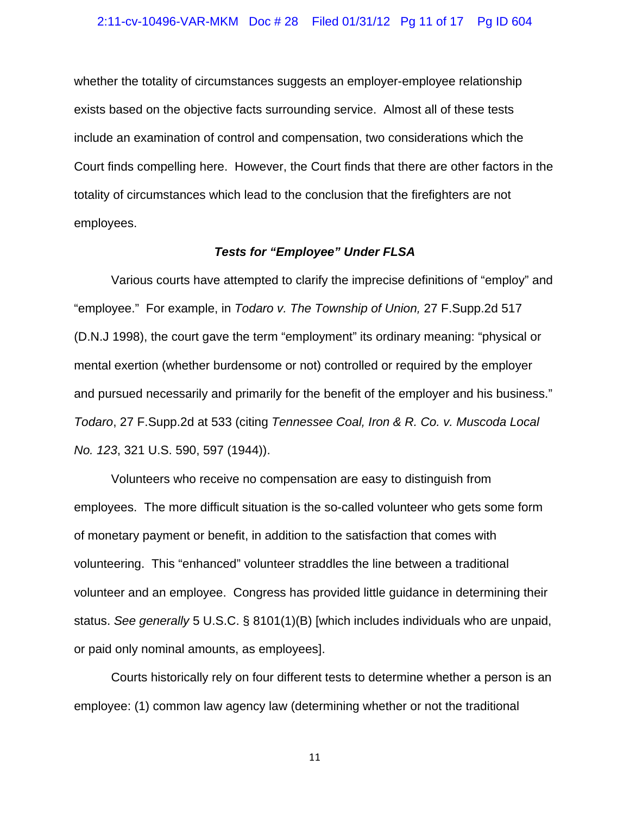#### 2:11-cv-10496-VAR-MKM Doc # 28 Filed 01/31/12 Pg 11 of 17 Pg ID 604

whether the totality of circumstances suggests an employer-employee relationship exists based on the objective facts surrounding service. Almost all of these tests include an examination of control and compensation, two considerations which the Court finds compelling here. However, the Court finds that there are other factors in the totality of circumstances which lead to the conclusion that the firefighters are not employees.

## *Tests for "Employee" Under FLSA*

Various courts have attempted to clarify the imprecise definitions of "employ" and "employee." For example, in *Todaro v. The Township of Union,* 27 F.Supp.2d 517 (D.N.J 1998), the court gave the term "employment" its ordinary meaning: "physical or mental exertion (whether burdensome or not) controlled or required by the employer and pursued necessarily and primarily for the benefit of the employer and his business." *Todaro*, 27 F.Supp.2d at 533 (citing *Tennessee Coal, Iron & R. Co. v. Muscoda Local No. 123*, 321 U.S. 590, 597 (1944)).

Volunteers who receive no compensation are easy to distinguish from employees. The more difficult situation is the so-called volunteer who gets some form of monetary payment or benefit, in addition to the satisfaction that comes with volunteering. This "enhanced" volunteer straddles the line between a traditional volunteer and an employee. Congress has provided little guidance in determining their status. *See generally* 5 U.S.C. § 8101(1)(B) [which includes individuals who are unpaid, or paid only nominal amounts, as employees].

Courts historically rely on four different tests to determine whether a person is an employee: (1) common law agency law (determining whether or not the traditional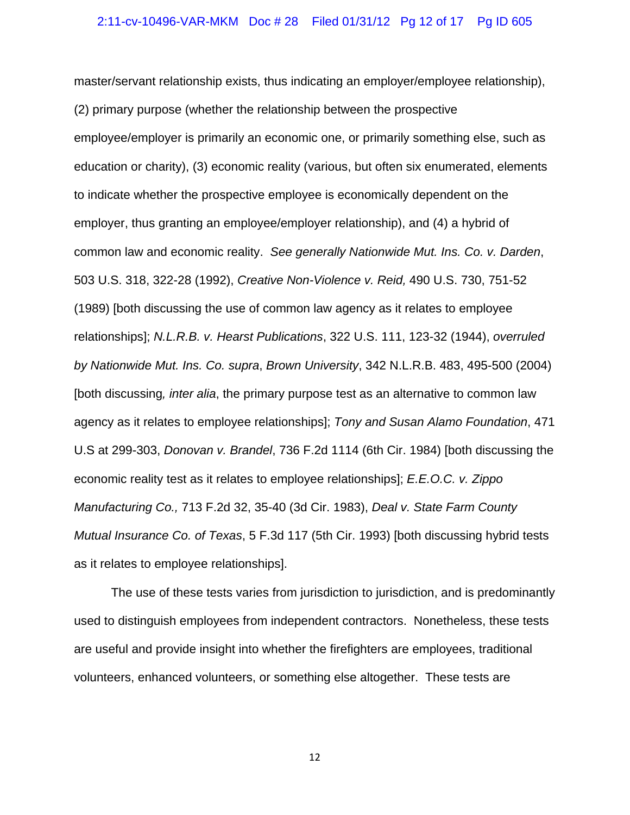#### 2:11-cv-10496-VAR-MKM Doc # 28 Filed 01/31/12 Pg 12 of 17 Pg ID 605

master/servant relationship exists, thus indicating an employer/employee relationship), (2) primary purpose (whether the relationship between the prospective employee/employer is primarily an economic one, or primarily something else, such as education or charity), (3) economic reality (various, but often six enumerated, elements to indicate whether the prospective employee is economically dependent on the employer, thus granting an employee/employer relationship), and (4) a hybrid of common law and economic reality. *See generally Nationwide Mut. Ins. Co. v. Darden*, 503 U.S. 318, 322-28 (1992), *Creative Non-Violence v. Reid,* 490 U.S. 730, 751-52 (1989) [both discussing the use of common law agency as it relates to employee relationships]; *N.L.R.B. v. Hearst Publications*, 322 U.S. 111, 123-32 (1944), *overruled by Nationwide Mut. Ins. Co. supra*, *Brown University*, 342 N.L.R.B. 483, 495-500 (2004) [both discussing*, inter alia*, the primary purpose test as an alternative to common law agency as it relates to employee relationships]; *Tony and Susan Alamo Foundation*, 471 U.S at 299-303, *Donovan v. Brandel*, 736 F.2d 1114 (6th Cir. 1984) [both discussing the economic reality test as it relates to employee relationships]; *E.E.O.C. v. Zippo Manufacturing Co.,* 713 F.2d 32, 35-40 (3d Cir. 1983), *Deal v. State Farm County Mutual Insurance Co. of Texas*, 5 F.3d 117 (5th Cir. 1993) [both discussing hybrid tests as it relates to employee relationships].

The use of these tests varies from jurisdiction to jurisdiction, and is predominantly used to distinguish employees from independent contractors. Nonetheless, these tests are useful and provide insight into whether the firefighters are employees, traditional volunteers, enhanced volunteers, or something else altogether. These tests are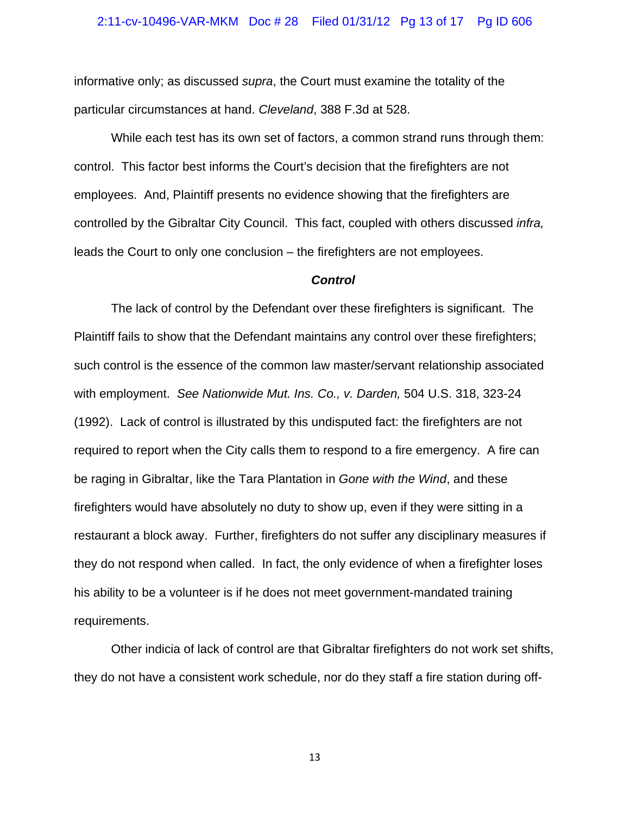#### 2:11-cv-10496-VAR-MKM Doc # 28 Filed 01/31/12 Pg 13 of 17 Pg ID 606

informative only; as discussed *supra*, the Court must examine the totality of the particular circumstances at hand. *Cleveland*, 388 F.3d at 528.

While each test has its own set of factors, a common strand runs through them: control. This factor best informs the Court's decision that the firefighters are not employees. And, Plaintiff presents no evidence showing that the firefighters are controlled by the Gibraltar City Council. This fact, coupled with others discussed *infra,* leads the Court to only one conclusion – the firefighters are not employees.

#### *Control*

The lack of control by the Defendant over these firefighters is significant. The Plaintiff fails to show that the Defendant maintains any control over these firefighters; such control is the essence of the common law master/servant relationship associated with employment. *See Nationwide Mut. Ins. Co., v. Darden,* 504 U.S. 318, 323-24 (1992). Lack of control is illustrated by this undisputed fact: the firefighters are not required to report when the City calls them to respond to a fire emergency. A fire can be raging in Gibraltar, like the Tara Plantation in *Gone with the Wind*, and these firefighters would have absolutely no duty to show up, even if they were sitting in a restaurant a block away. Further, firefighters do not suffer any disciplinary measures if they do not respond when called. In fact, the only evidence of when a firefighter loses his ability to be a volunteer is if he does not meet government-mandated training requirements.

Other indicia of lack of control are that Gibraltar firefighters do not work set shifts, they do not have a consistent work schedule, nor do they staff a fire station during off-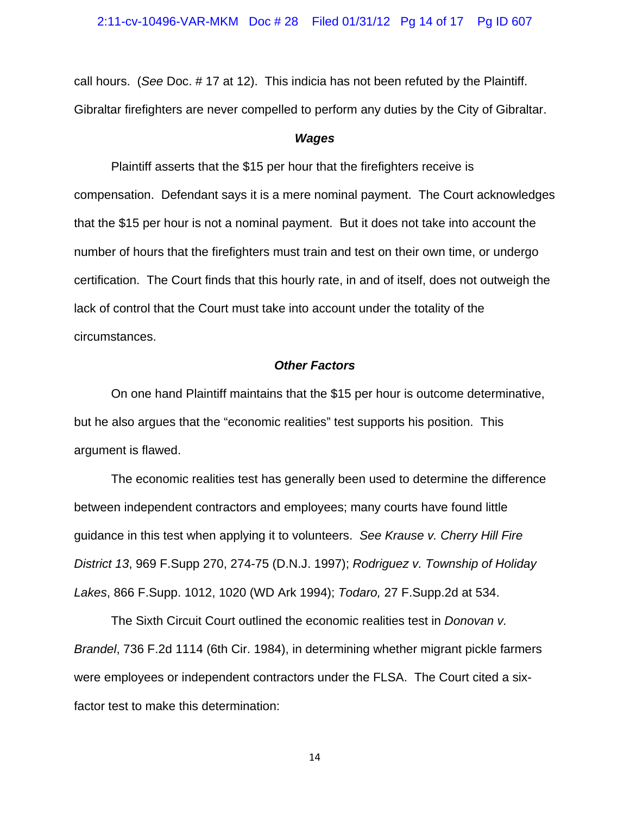call hours. (*See* Doc. # 17 at 12). This indicia has not been refuted by the Plaintiff. Gibraltar firefighters are never compelled to perform any duties by the City of Gibraltar.

## *Wages*

 Plaintiff asserts that the \$15 per hour that the firefighters receive is compensation. Defendant says it is a mere nominal payment. The Court acknowledges that the \$15 per hour is not a nominal payment. But it does not take into account the number of hours that the firefighters must train and test on their own time, or undergo certification. The Court finds that this hourly rate, in and of itself, does not outweigh the lack of control that the Court must take into account under the totality of the circumstances.

#### *Other Factors*

 On one hand Plaintiff maintains that the \$15 per hour is outcome determinative, but he also argues that the "economic realities" test supports his position. This argument is flawed.

 The economic realities test has generally been used to determine the difference between independent contractors and employees; many courts have found little guidance in this test when applying it to volunteers. *See Krause v. Cherry Hill Fire District 13*, 969 F.Supp 270, 274-75 (D.N.J. 1997); *Rodriguez v. Township of Holiday Lakes*, 866 F.Supp. 1012, 1020 (WD Ark 1994); *Todaro,* 27 F.Supp.2d at 534.

The Sixth Circuit Court outlined the economic realities test in *Donovan v. Brandel*, 736 F.2d 1114 (6th Cir. 1984), in determining whether migrant pickle farmers were employees or independent contractors under the FLSA. The Court cited a sixfactor test to make this determination: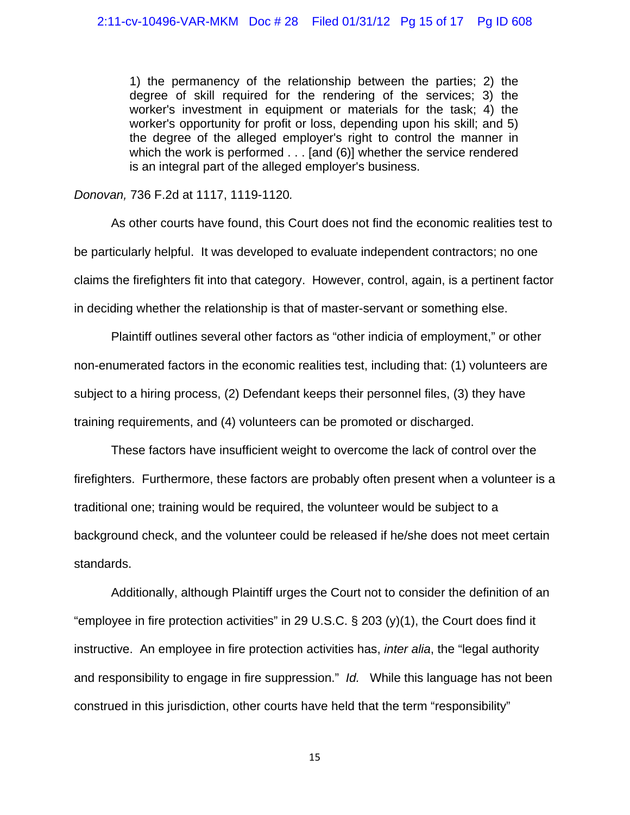1) the permanency of the relationship between the parties; 2) the degree of skill required for the rendering of the services; 3) the worker's investment in equipment or materials for the task; 4) the worker's opportunity for profit or loss, depending upon his skill; and 5) the degree of the alleged employer's right to control the manner in which the work is performed . . . [and (6)] whether the service rendered is an integral part of the alleged employer's business.

*Donovan,* 736 F.2d at 1117, 1119-1120*.* 

As other courts have found, this Court does not find the economic realities test to be particularly helpful. It was developed to evaluate independent contractors; no one claims the firefighters fit into that category. However, control, again, is a pertinent factor in deciding whether the relationship is that of master-servant or something else.

Plaintiff outlines several other factors as "other indicia of employment," or other non-enumerated factors in the economic realities test, including that: (1) volunteers are subject to a hiring process, (2) Defendant keeps their personnel files, (3) they have training requirements, and (4) volunteers can be promoted or discharged.

These factors have insufficient weight to overcome the lack of control over the firefighters. Furthermore, these factors are probably often present when a volunteer is a traditional one; training would be required, the volunteer would be subject to a background check, and the volunteer could be released if he/she does not meet certain standards.

Additionally, although Plaintiff urges the Court not to consider the definition of an "employee in fire protection activities" in 29 U.S.C. § 203 (y)(1), the Court does find it instructive. An employee in fire protection activities has, *inter alia*, the "legal authority and responsibility to engage in fire suppression." *Id.* While this language has not been construed in this jurisdiction, other courts have held that the term "responsibility"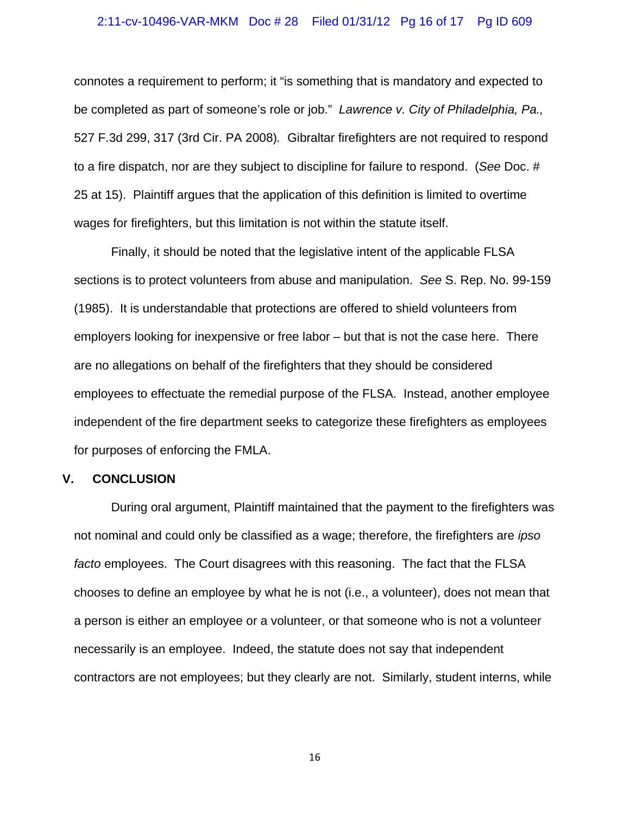#### 2:11-cv-10496-VAR-MKM Doc # 28 Filed 01/31/12 Pg 16 of 17 Pg ID 609

connotes a requirement to perform; it "is something that is mandatory and expected to be completed as part of someone's role or job." *Lawrence v. City of Philadelphia, Pa.,*  527 F.3d 299, 317 (3rd Cir. PA 2008)*.* Gibraltar firefighters are not required to respond to a fire dispatch, nor are they subject to discipline for failure to respond. (*See* Doc. # 25 at 15). Plaintiff argues that the application of this definition is limited to overtime wages for firefighters, but this limitation is not within the statute itself.

Finally, it should be noted that the legislative intent of the applicable FLSA sections is to protect volunteers from abuse and manipulation. *See* S. Rep. No. 99-159 (1985). It is understandable that protections are offered to shield volunteers from employers looking for inexpensive or free labor – but that is not the case here. There are no allegations on behalf of the firefighters that they should be considered employees to effectuate the remedial purpose of the FLSA. Instead, another employee independent of the fire department seeks to categorize these firefighters as employees for purposes of enforcing the FMLA.

## **V. CONCLUSION**

During oral argument, Plaintiff maintained that the payment to the firefighters was not nominal and could only be classified as a wage; therefore, the firefighters are *ipso facto* employees. The Court disagrees with this reasoning. The fact that the FLSA chooses to define an employee by what he is not (i.e., a volunteer), does not mean that a person is either an employee or a volunteer, or that someone who is not a volunteer necessarily is an employee. Indeed, the statute does not say that independent contractors are not employees; but they clearly are not. Similarly, student interns, while